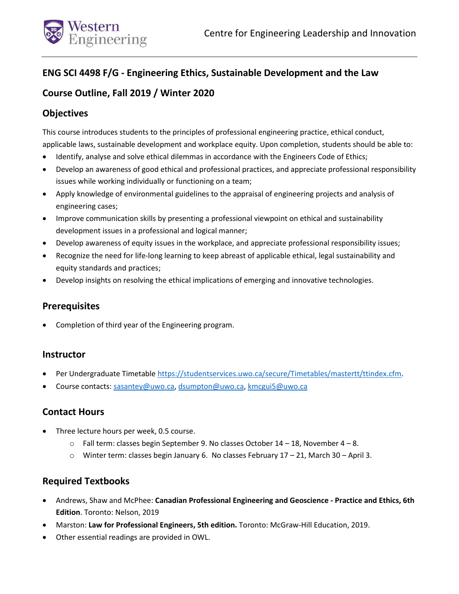

# **ENG SCI 4498 F/G - Engineering Ethics, Sustainable Development and the Law**

# **Course Outline, Fall 2019 / Winter 2020**

# **Objectives**

This course introduces students to the principles of professional engineering practice, ethical conduct, applicable laws, sustainable development and workplace equity. Upon completion, students should be able to:

- Identify, analyse and solve ethical dilemmas in accordance with the Engineers Code of Ethics;
- Develop an awareness of good ethical and professional practices, and appreciate professional responsibility issues while working individually or functioning on a team;
- Apply knowledge of environmental guidelines to the appraisal of engineering projects and analysis of engineering cases;
- Improve communication skills by presenting a professional viewpoint on ethical and sustainability development issues in a professional and logical manner;
- Develop awareness of equity issues in the workplace, and appreciate professional responsibility issues;
- Recognize the need for life-long learning to keep abreast of applicable ethical, legal sustainability and equity standards and practices;
- Develop insights on resolving the ethical implications of emerging and innovative technologies.

# **Prerequisites**

Completion of third year of the Engineering program.

# **Instructor**

- Per Undergraduate Timetable [https://studentservices.uwo.ca/secure/Timetables/mastertt/ttindex.cfm.](https://studentservices.uwo.ca/secure/Timetables/mastertt/ttindex.cfm)
- Course contacts[: sasantey@uwo.ca,](mailto:sasantey@uwo.ca) [dsumpton@uwo.ca,](mailto:dsumpton@uwo.ca) [kmcgui5@uwo.ca](mailto:kmcgui5@uwo.ca)

# **Contact Hours**

- Three lecture hours per week, 0.5 course.
	- $\circ$  Fall term: classes begin September 9. No classes October 14 18, November 4 8.
	- $\circ$  Winter term: classes begin January 6. No classes February 17 21, March 30 April 3.

# **Required Textbooks**

- Andrews, Shaw and McPhee: **Canadian Professional Engineering and Geoscience - Practice and Ethics, 6th Edition**. Toronto: Nelson, 2019
- Marston: **Law for Professional Engineers, 5th edition.** Toronto: McGraw-Hill Education, 2019.
- Other essential readings are provided in OWL.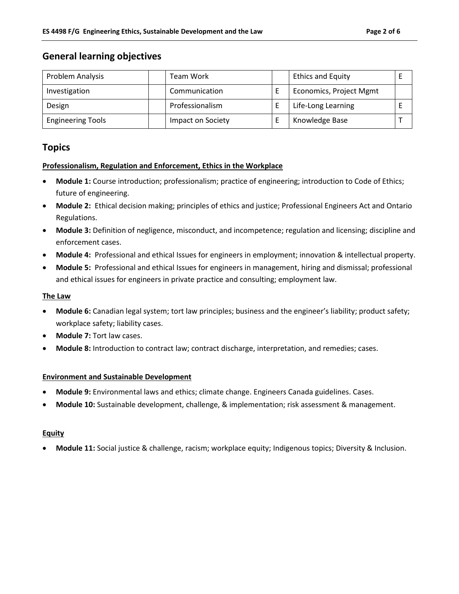## **General learning objectives**

| Problem Analysis         | <b>Team Work</b>  | <b>Ethics and Equity</b> |  |
|--------------------------|-------------------|--------------------------|--|
| Investigation            | Communication     | Economics, Project Mgmt  |  |
| Design                   | Professionalism   | Life-Long Learning       |  |
| <b>Engineering Tools</b> | Impact on Society | Knowledge Base           |  |

# **Topics**

#### **Professionalism, Regulation and Enforcement, Ethics in the Workplace**

- **Module 1:** Course introduction; professionalism; practice of engineering; introduction to Code of Ethics; future of engineering.
- **Module 2:** Ethical decision making; principles of ethics and justice; Professional Engineers Act and Ontario Regulations.
- **Module 3:** Definition of negligence, misconduct, and incompetence; regulation and licensing; discipline and enforcement cases.
- **Module 4:** Professional and ethical Issues for engineers in employment; innovation & intellectual property.
- **Module 5:** Professional and ethical Issues for engineers in management, hiring and dismissal; professional and ethical issues for engineers in private practice and consulting; employment law.

### **The Law**

- **Module 6:** Canadian legal system; tort law principles; business and the engineer's liability; product safety; workplace safety; liability cases.
- **Module 7:** Tort law cases.
- **Module 8:** Introduction to contract law; contract discharge, interpretation, and remedies; cases.

### **Environment and Sustainable Development**

- **Module 9:** Environmental laws and ethics; climate change. Engineers Canada guidelines. Cases.
- **Module 10:** Sustainable development, challenge, & implementation; risk assessment & management.

#### **Equity**

**Module 11:** Social justice & challenge, racism; workplace equity; Indigenous topics; Diversity & Inclusion.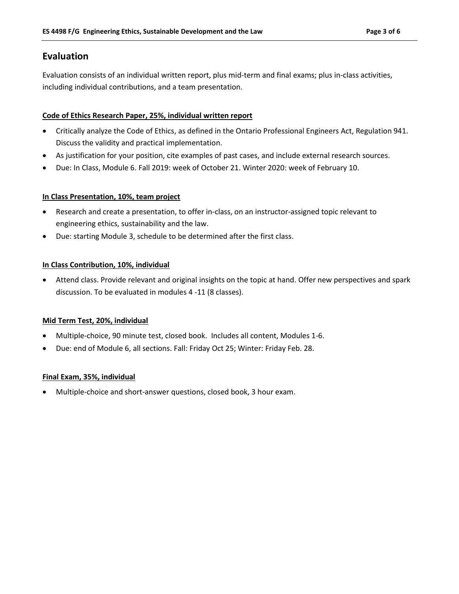# **Evaluation**

Evaluation consists of an individual written report, plus mid-term and final exams; plus in-class activities, including individual contributions, and a team presentation.

### **Code of Ethics Research Paper, 25%, individual written report**

- Critically analyze the Code of Ethics, as defined in the Ontario Professional Engineers Act, Regulation 941. Discuss the validity and practical implementation.
- As justification for your position, cite examples of past cases, and include external research sources.
- Due: In Class, Module 6. Fall 2019: week of October 21. Winter 2020: week of February 10.

### **In Class Presentation, 10%, team project**

- Research and create a presentation, to offer in-class, on an instructor-assigned topic relevant to engineering ethics, sustainability and the law.
- Due: starting Module 3, schedule to be determined after the first class.

### **In Class Contribution, 10%, individual**

 Attend class. Provide relevant and original insights on the topic at hand. Offer new perspectives and spark discussion. To be evaluated in modules 4 -11 (8 classes).

### **Mid Term Test, 20%, individual**

- Multiple-choice, 90 minute test, closed book. Includes all content, Modules 1-6.
- Due: end of Module 6, all sections. Fall: Friday Oct 25; Winter: Friday Feb. 28.

### **Final Exam, 35%, individual**

Multiple-choice and short-answer questions, closed book, 3 hour exam.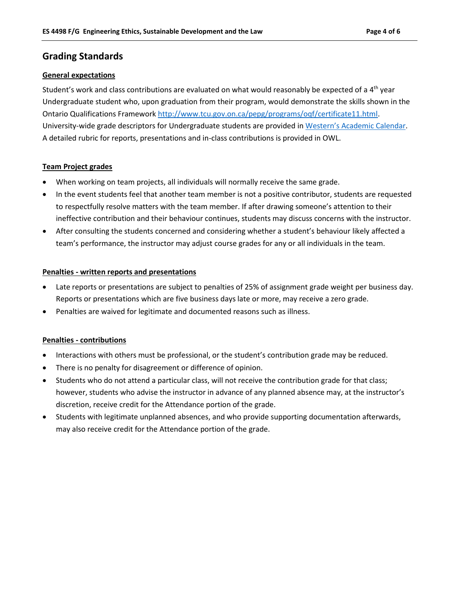# **Grading Standards**

#### **General expectations**

Student's work and class contributions are evaluated on what would reasonably be expected of a 4<sup>th</sup> year Undergraduate student who, upon graduation from their program, would demonstrate the skills shown in the Ontario Qualifications Framewor[k http://www.tcu.gov.on.ca/pepg/programs/oqf/certificate11.html.](http://www.tcu.gov.on.ca/pepg/programs/oqf/certificate11.html) University-wide grade descriptors for Undergraduate students are provided in [Western's Academic Calendar](http://www.westerncalendar.uwo.ca/PolicyPages.cfm?Command=showCategory&PolicyCategoryID=5&SelectedCalendar=Live&ArchiveID=#Page_70). A detailed rubric for reports, presentations and in-class contributions is provided in OWL.

#### **Team Project grades**

- When working on team projects, all individuals will normally receive the same grade.
- In the event students feel that another team member is not a positive contributor, students are requested to respectfully resolve matters with the team member. If after drawing someone's attention to their ineffective contribution and their behaviour continues, students may discuss concerns with the instructor.
- After consulting the students concerned and considering whether a student's behaviour likely affected a team's performance, the instructor may adjust course grades for any or all individuals in the team.

#### **Penalties - written reports and presentations**

- Late reports or presentations are subject to penalties of 25% of assignment grade weight per business day. Reports or presentations which are five business days late or more, may receive a zero grade.
- Penalties are waived for legitimate and documented reasons such as illness.

#### **Penalties - contributions**

- Interactions with others must be professional, or the student's contribution grade may be reduced.
- There is no penalty for disagreement or difference of opinion.
- Students who do not attend a particular class, will not receive the contribution grade for that class; however, students who advise the instructor in advance of any planned absence may, at the instructor's discretion, receive credit for the Attendance portion of the grade.
- Students with legitimate unplanned absences, and who provide supporting documentation afterwards, may also receive credit for the Attendance portion of the grade.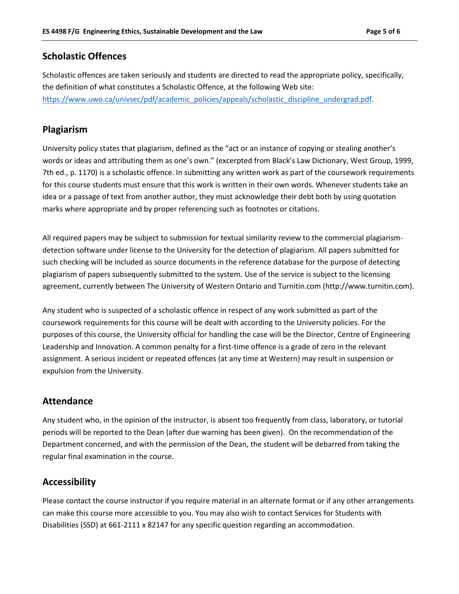## **Scholastic Offences**

Scholastic offences are taken seriously and students are directed to read the appropriate policy, specifically, the definition of what constitutes a Scholastic Offence, at the following Web site: [https://www.uwo.ca/univsec/pdf/academic\\_policies/appeals/scholastic\\_discipline\\_undergrad.pdf.](https://www.uwo.ca/univsec/pdf/academic_policies/appeals/scholastic_discipline_undergrad.pdf)

### **Plagiarism**

University policy states that plagiarism, defined as the "act or an instance of copying or stealing another's words or ideas and attributing them as one's own." (excerpted from Black's Law Dictionary, West Group, 1999, 7th ed., p. 1170) is a scholastic offence. In submitting any written work as part of the coursework requirements for this course students must ensure that this work is written in their own words. Whenever students take an idea or a passage of text from another author, they must acknowledge their debt both by using quotation marks where appropriate and by proper referencing such as footnotes or citations.

All required papers may be subject to submission for textual similarity review to the commercial plagiarismdetection software under license to the University for the detection of plagiarism. All papers submitted for such checking will be included as source documents in the reference database for the purpose of detecting plagiarism of papers subsequently submitted to the system. Use of the service is subject to the licensing agreement, currently between The University of Western Ontario and Turnitin.com (http://www.turnitin.com).

Any student who is suspected of a scholastic offence in respect of any work submitted as part of the coursework requirements for this course will be dealt with according to the University policies. For the purposes of this course, the University official for handling the case will be the Director, Centre of Engineering Leadership and Innovation. A common penalty for a first-time offence is a grade of zero in the relevant assignment. A serious incident or repeated offences (at any time at Western) may result in suspension or expulsion from the University.

## **Attendance**

Any student who, in the opinion of the instructor, is absent too frequently from class, laboratory, or tutorial periods will be reported to the Dean (after due warning has been given). On the recommendation of the Department concerned, and with the permission of the Dean, the student will be debarred from taking the regular final examination in the course.

## **Accessibility**

Please contact the course instructor if you require material in an alternate format or if any other arrangements can make this course more accessible to you. You may also wish to contact Services for Students with Disabilities (SSD) at 661-2111 x 82147 for any specific question regarding an accommodation.